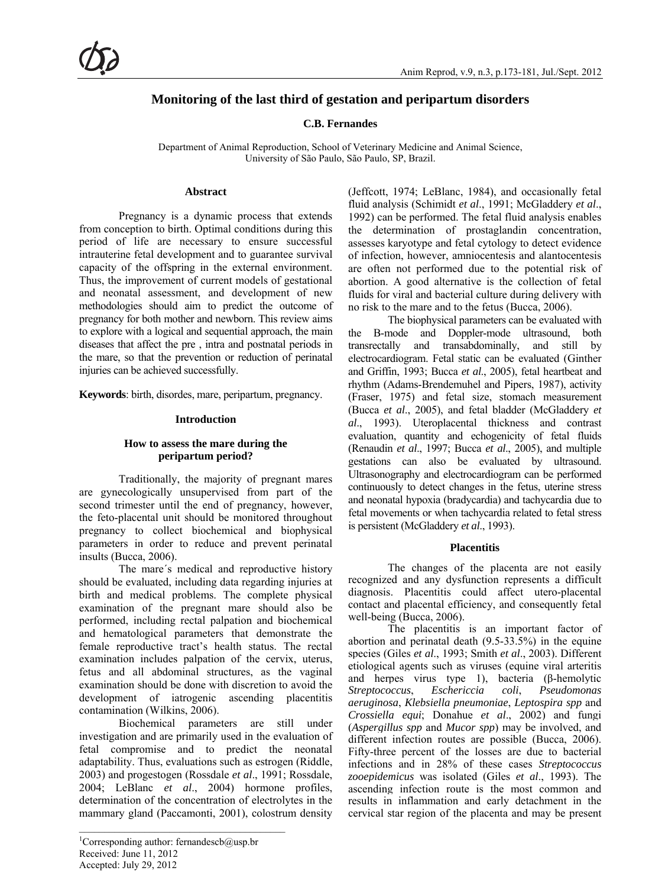# **Monitoring of the last third of gestation and peripartum disorders**

**C.B. Fernandes** 

Department of Animal Reproduction, School of Veterinary Medicine and Animal Science, University of São Paulo, São Paulo, SP, Brazil.

### **Abstract**

Pregnancy is a dynamic process that extends from conception to birth. Optimal conditions during this period of life are necessary to ensure successful intrauterine fetal development and to guarantee survival capacity of the offspring in the external environment. Thus, the improvement of current models of gestational and neonatal assessment, and development of new methodologies should aim to predict the outcome of pregnancy for both mother and newborn. This review aims to explore with a logical and sequential approach, the main diseases that affect the pre , intra and postnatal periods in the mare, so that the prevention or reduction of perinatal injuries can be achieved successfully.

**Keywords**: birth, disordes, mare, peripartum, pregnancy.

### **Introduction**

### **How to assess the mare during the peripartum period?**

Traditionally, the majority of pregnant mares are gynecologically unsupervised from part of the second trimester until the end of pregnancy, however, the feto-placental unit should be monitored throughout pregnancy to collect biochemical and biophysical parameters in order to reduce and prevent perinatal insults (Bucca, 2006).

The mare´s medical and reproductive history should be evaluated, including data regarding injuries at birth and medical problems. The complete physical examination of the pregnant mare should also be performed, including rectal palpation and biochemical and hematological parameters that demonstrate the female reproductive tract's health status. The rectal examination includes palpation of the cervix, uterus, fetus and all abdominal structures, as the vaginal examination should be done with discretion to avoid the development of iatrogenic ascending placentitis contamination (Wilkins, 2006).

Biochemical parameters are still under investigation and are primarily used in the evaluation of fetal compromise and to predict the neonatal adaptability. Thus, evaluations such as estrogen (Riddle, 2003) and progestogen (Rossdale *et al*., 1991; Rossdale, 2004; LeBlanc *et al*., 2004) hormone profiles, determination of the concentration of electrolytes in the mammary gland (Paccamonti, 2001), colostrum density (Jeffcott, 1974; LeBlanc, 1984), and occasionally fetal fluid analysis (Schimidt *et al*., 1991; McGladdery *et al*., 1992) can be performed. The fetal fluid analysis enables the determination of prostaglandin concentration, assesses karyotype and fetal cytology to detect evidence of infection, however, amniocentesis and alantocentesis are often not performed due to the potential risk of abortion. A good alternative is the collection of fetal fluids for viral and bacterial culture during delivery with no risk to the mare and to the fetus (Bucca, 2006).

The biophysical parameters can be evaluated with the B-mode and Doppler-mode ultrasound, both transrectally and transabdominally, and still by electrocardiogram. Fetal static can be evaluated (Ginther and Griffin, 1993; Bucca *et al*., 2005), fetal heartbeat and rhythm (Adams-Brendemuhel and Pipers, 1987), activity (Fraser, 1975) and fetal size, stomach measurement (Bucca *et al*., 2005), and fetal bladder (McGladdery *et al*., 1993). Uteroplacental thickness and contrast evaluation, quantity and echogenicity of fetal fluids (Renaudin *et al*., 1997; Bucca *et al*., 2005), and multiple gestations can also be evaluated by ultrasound. Ultrasonography and electrocardiogram can be performed continuously to detect changes in the fetus, uterine stress and neonatal hypoxia (bradycardia) and tachycardia due to fetal movements or when tachycardia related to fetal stress is persistent (McGladdery *et al*., 1993).

### **Placentitis**

The changes of the placenta are not easily recognized and any dysfunction represents a difficult diagnosis. Placentitis could affect utero-placental contact and placental efficiency, and consequently fetal well-being (Bucca, 2006).

The placentitis is an important factor of abortion and perinatal death (9.5-33.5%) in the equine species (Giles *et al*., 1993; Smith *et al*., 2003). Different etiological agents such as viruses (equine viral arteritis and herpes virus type 1), bacteria (β-hemolytic *Streptococcus*, *Eschericcia coli*, *Pseudomonas aeruginosa*, *Klebsiella pneumoniae*, *Leptospira spp* and *Crossiella equi*; Donahue *et al*., 2002) and fungi (*Aspergillus spp* and *Mucor spp*) may be involved, and different infection routes are possible (Bucca, 2006). Fifty-three percent of the losses are due to bacterial infections and in 28% of these cases *Streptococcus zooepidemicus* was isolated (Giles *et al*., 1993). The ascending infection route is the most common and results in inflammation and early detachment in the cervical star region of the placenta and may be present

<sup>&</sup>lt;sup>1</sup>Corresponding author: fernandescb@usp.br Received: June 11, 2012 Accepted: July 29, 2012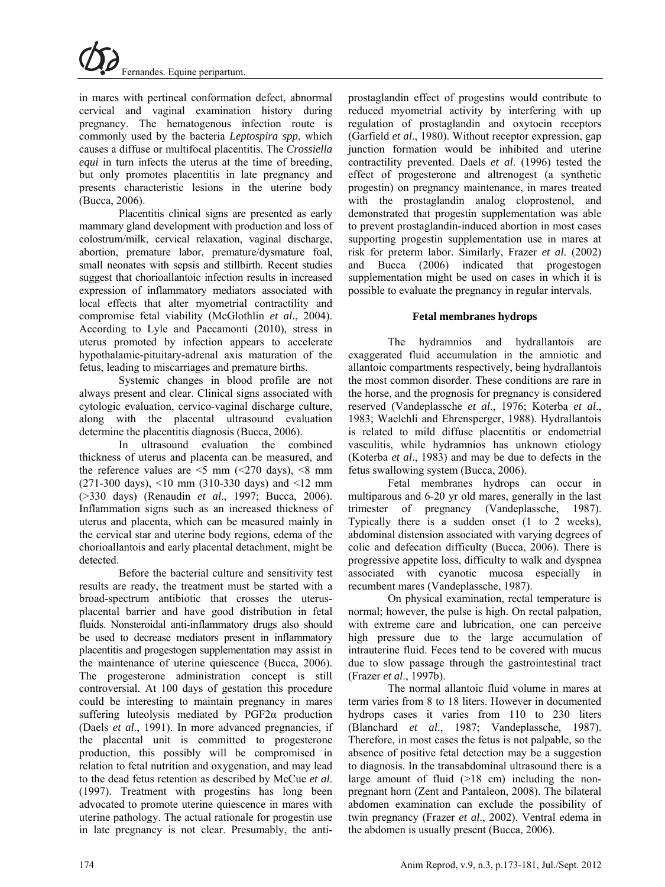in mares with pertineal conformation defect, abnormal cervical and vaginal examination history during pregnancy. The hematogenous infection route is commonly used by the bacteria *Leptospira spp*, which causes a diffuse or multifocal placentitis. The *Crossiella equi* in turn infects the uterus at the time of breeding, but only promotes placentitis in late pregnancy and presents characteristic lesions in the uterine body (Bucca, 2006).

Placentitis clinical signs are presented as early mammary gland development with production and loss of colostrum/milk, cervical relaxation, vaginal discharge, abortion, premature labor, premature/dysmature foal, small neonates with sepsis and stillbirth. Recent studies suggest that chorioallantoic infection results in increased expression of inflammatory mediators associated with local effects that alter myometrial contractility and compromise fetal viability (McGlothlin *et al*., 2004). According to Lyle and Paccamonti (2010), stress in uterus promoted by infection appears to accelerate hypothalamic-pituitary-adrenal axis maturation of the fetus, leading to miscarriages and premature births.

Systemic changes in blood profile are not always present and clear. Clinical signs associated with cytologic evaluation, cervico-vaginal discharge culture, along with the placental ultrasound evaluation determine the placentitis diagnosis (Bucca, 2006).

In ultrasound evaluation the combined thickness of uterus and placenta can be measured, and the reference values are  $\leq$  mm ( $\leq$ 270 days),  $\leq$ 8 mm (271-300 days), <10 mm (310-330 days) and <12 mm (>330 days) (Renaudin *et al*., 1997; Bucca, 2006). Inflammation signs such as an increased thickness of uterus and placenta, which can be measured mainly in the cervical star and uterine body regions, edema of the chorioallantois and early placental detachment, might be detected.

Before the bacterial culture and sensitivity test results are ready, the treatment must be started with a broad-spectrum antibiotic that crosses the uterusplacental barrier and have good distribution in fetal fluids. Nonsteroidal anti-inflammatory drugs also should be used to decrease mediators present in inflammatory placentitis and progestogen supplementation may assist in the maintenance of uterine quiescence (Bucca, 2006). The progesterone administration concept is still controversial. At 100 days of gestation this procedure could be interesting to maintain pregnancy in mares suffering luteolysis mediated by  $PGF2\alpha$  production (Daels *et al*., 1991). In more advanced pregnancies, if the placental unit is committed to progesterone production, this possibly will be compromised in relation to fetal nutrition and oxygenation, and may lead to the dead fetus retention as described by McCue *et al*. (1997). Treatment with progestins has long been advocated to promote uterine quiescence in mares with uterine pathology. The actual rationale for progestin use in late pregnancy is not clear. Presumably, the antiprostaglandin effect of progestins would contribute to reduced myometrial activity by interfering with up regulation of prostaglandin and oxytocin receptors (Garfield *et al*., 1980). Without receptor expression, gap junction formation would be inhibited and uterine contractility prevented. Daels *et al*. (1996) tested the effect of progesterone and altrenogest (a synthetic progestin) on pregnancy maintenance, in mares treated with the prostaglandin analog cloprostenol, and demonstrated that progestin supplementation was able to prevent prostaglandin-induced abortion in most cases supporting progestin supplementation use in mares at risk for preterm labor. Similarly, Frazer *et al*. (2002) and Bucca (2006) indicated that progestogen supplementation might be used on cases in which it is possible to evaluate the pregnancy in regular intervals.

## **Fetal membranes hydrops**

The hydramnios and hydrallantois are exaggerated fluid accumulation in the amniotic and allantoic compartments respectively, being hydrallantois the most common disorder. These conditions are rare in the horse, and the prognosis for pregnancy is considered reserved (Vandeplassche *et al*., 1976; Koterba *et al*., 1983; Waelchli and Ehrensperger, 1988). Hydrallantois is related to mild diffuse placentitis or endometrial vasculitis, while hydramnios has unknown etiology (Koterba *et al*., 1983) and may be due to defects in the fetus swallowing system (Bucca, 2006).

Fetal membranes hydrops can occur in multiparous and 6-20 yr old mares, generally in the last trimester of pregnancy (Vandeplassche, 1987). Typically there is a sudden onset (1 to 2 weeks), abdominal distension associated with varying degrees of colic and defecation difficulty (Bucca, 2006). There is progressive appetite loss, difficulty to walk and dyspnea associated with cyanotic mucosa especially in recumbent mares (Vandeplassche, 1987).

On physical examination, rectal temperature is normal; however, the pulse is high. On rectal palpation, with extreme care and lubrication, one can perceive high pressure due to the large accumulation of intrauterine fluid. Feces tend to be covered with mucus due to slow passage through the gastrointestinal tract (Frazer *et al*., 1997b).

The normal allantoic fluid volume in mares at term varies from 8 to 18 liters. However in documented hydrops cases it varies from 110 to 230 liters (Blanchard *et al*., 1987; Vandeplassche, 1987). Therefore, in most cases the fetus is not palpable, so the absence of positive fetal detection may be a suggestion to diagnosis. In the transabdominal ultrasound there is a large amount of fluid  $(>18$  cm) including the nonpregnant horn (Zent and Pantaleon, 2008). The bilateral abdomen examination can exclude the possibility of twin pregnancy (Frazer *et al*., 2002). Ventral edema in the abdomen is usually present (Bucca, 2006).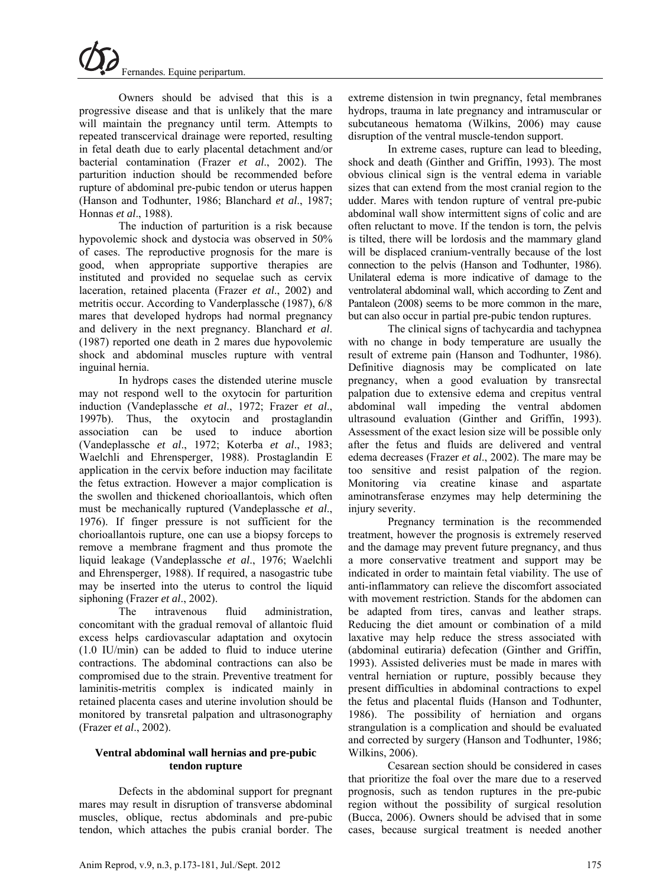Owners should be advised that this is a progressive disease and that is unlikely that the mare will maintain the pregnancy until term. Attempts to repeated transcervical drainage were reported, resulting in fetal death due to early placental detachment and/or bacterial contamination (Frazer *et al*., 2002). The parturition induction should be recommended before rupture of abdominal pre-pubic tendon or uterus happen (Hanson and Todhunter, 1986; Blanchard *et al*., 1987; Honnas *et al*., 1988).

The induction of parturition is a risk because hypovolemic shock and dystocia was observed in 50% of cases. The reproductive prognosis for the mare is good, when appropriate supportive therapies are instituted and provided no sequelae such as cervix laceration, retained placenta (Frazer *et al*., 2002) and metritis occur. According to Vanderplassche (1987), 6/8 mares that developed hydrops had normal pregnancy and delivery in the next pregnancy. Blanchard *et al*. (1987) reported one death in 2 mares due hypovolemic shock and abdominal muscles rupture with ventral inguinal hernia.

In hydrops cases the distended uterine muscle may not respond well to the oxytocin for parturition induction (Vandeplassche *et al*., 1972; Frazer *et al*., 1997b). Thus, the oxytocin and prostaglandin association can be used to induce abortion (Vandeplassche *et al*., 1972; Koterba *et al*., 1983; Waelchli and Ehrensperger, 1988). Prostaglandin E application in the cervix before induction may facilitate the fetus extraction. However a major complication is the swollen and thickened chorioallantois, which often must be mechanically ruptured (Vandeplassche *et al*., 1976). If finger pressure is not sufficient for the chorioallantois rupture, one can use a biopsy forceps to remove a membrane fragment and thus promote the liquid leakage (Vandeplassche *et al*., 1976; Waelchli and Ehrensperger, 1988). If required, a nasogastric tube may be inserted into the uterus to control the liquid siphoning (Frazer *et al*., 2002).

The intravenous fluid administration, concomitant with the gradual removal of allantoic fluid excess helps cardiovascular adaptation and oxytocin (1.0 IU/min) can be added to fluid to induce uterine contractions. The abdominal contractions can also be compromised due to the strain. Preventive treatment for laminitis-metritis complex is indicated mainly in retained placenta cases and uterine involution should be monitored by transretal palpation and ultrasonography (Frazer *et al*., 2002).

### **Ventral abdominal wall hernias and pre-pubic tendon rupture**

Defects in the abdominal support for pregnant mares may result in disruption of transverse abdominal muscles, oblique, rectus abdominals and pre-pubic tendon, which attaches the pubis cranial border. The extreme distension in twin pregnancy, fetal membranes hydrops, trauma in late pregnancy and intramuscular or subcutaneous hematoma (Wilkins, 2006) may cause disruption of the ventral muscle-tendon support.

In extreme cases, rupture can lead to bleeding, shock and death (Ginther and Griffin, 1993). The most obvious clinical sign is the ventral edema in variable sizes that can extend from the most cranial region to the udder. Mares with tendon rupture of ventral pre-pubic abdominal wall show intermittent signs of colic and are often reluctant to move. If the tendon is torn, the pelvis is tilted, there will be lordosis and the mammary gland will be displaced cranium-ventrally because of the lost connection to the pelvis (Hanson and Todhunter, 1986). Unilateral edema is more indicative of damage to the ventrolateral abdominal wall, which according to Zent and Pantaleon (2008) seems to be more common in the mare, but can also occur in partial pre-pubic tendon ruptures.

The clinical signs of tachycardia and tachypnea with no change in body temperature are usually the result of extreme pain (Hanson and Todhunter, 1986). Definitive diagnosis may be complicated on late pregnancy, when a good evaluation by transrectal palpation due to extensive edema and crepitus ventral abdominal wall impeding the ventral abdomen ultrasound evaluation (Ginther and Griffin, 1993). Assessment of the exact lesion size will be possible only after the fetus and fluids are delivered and ventral edema decreases (Frazer *et al*., 2002). The mare may be too sensitive and resist palpation of the region. Monitoring via creatine kinase and aspartate aminotransferase enzymes may help determining the injury severity.

Pregnancy termination is the recommended treatment, however the prognosis is extremely reserved and the damage may prevent future pregnancy, and thus a more conservative treatment and support may be indicated in order to maintain fetal viability. The use of anti-inflammatory can relieve the discomfort associated with movement restriction. Stands for the abdomen can be adapted from tires, canvas and leather straps. Reducing the diet amount or combination of a mild laxative may help reduce the stress associated with (abdominal eutiraria) defecation (Ginther and Griffin, 1993). Assisted deliveries must be made in mares with ventral herniation or rupture, possibly because they present difficulties in abdominal contractions to expel the fetus and placental fluids (Hanson and Todhunter, 1986). The possibility of herniation and organs strangulation is a complication and should be evaluated and corrected by surgery (Hanson and Todhunter, 1986; Wilkins, 2006).

Cesarean section should be considered in cases that prioritize the foal over the mare due to a reserved prognosis, such as tendon ruptures in the pre-pubic region without the possibility of surgical resolution (Bucca, 2006). Owners should be advised that in some cases, because surgical treatment is needed another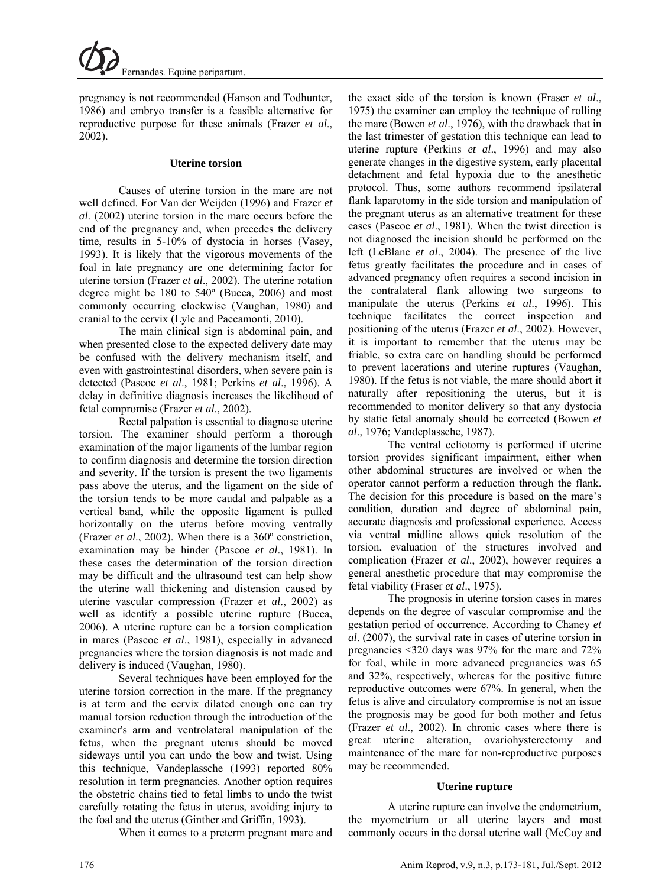pregnancy is not recommended (Hanson and Todhunter, 1986) and embryo transfer is a feasible alternative for reproductive purpose for these animals (Frazer *et al*., 2002).

#### **Uterine torsion**

Causes of uterine torsion in the mare are not well defined. For Van der Weijden (1996) and Frazer *et al*. (2002) uterine torsion in the mare occurs before the end of the pregnancy and, when precedes the delivery time, results in 5-10% of dystocia in horses (Vasey, 1993). It is likely that the vigorous movements of the foal in late pregnancy are one determining factor for uterine torsion (Frazer *et al*., 2002). The uterine rotation degree might be 180 to 540º (Bucca, 2006) and most commonly occurring clockwise (Vaughan, 1980) and cranial to the cervix (Lyle and Paccamonti, 2010).

The main clinical sign is abdominal pain, and when presented close to the expected delivery date may be confused with the delivery mechanism itself, and even with gastrointestinal disorders, when severe pain is detected (Pascoe *et al*., 1981; Perkins *et al*., 1996). A delay in definitive diagnosis increases the likelihood of fetal compromise (Frazer *et al*., 2002).

Rectal palpation is essential to diagnose uterine torsion. The examiner should perform a thorough examination of the major ligaments of the lumbar region to confirm diagnosis and determine the torsion direction and severity. If the torsion is present the two ligaments pass above the uterus, and the ligament on the side of the torsion tends to be more caudal and palpable as a vertical band, while the opposite ligament is pulled horizontally on the uterus before moving ventrally (Frazer *et al*., 2002). When there is a 360º constriction, examination may be hinder (Pascoe *et al*., 1981). In these cases the determination of the torsion direction may be difficult and the ultrasound test can help show the uterine wall thickening and distension caused by uterine vascular compression (Frazer *et al*., 2002) as well as identify a possible uterine rupture (Bucca, 2006). A uterine rupture can be a torsion complication in mares (Pascoe *et al*., 1981), especially in advanced pregnancies where the torsion diagnosis is not made and delivery is induced (Vaughan, 1980).

Several techniques have been employed for the uterine torsion correction in the mare. If the pregnancy is at term and the cervix dilated enough one can try manual torsion reduction through the introduction of the examiner's arm and ventrolateral manipulation of the fetus, when the pregnant uterus should be moved sideways until you can undo the bow and twist. Using this technique, Vandeplassche (1993) reported 80% resolution in term pregnancies. Another option requires the obstetric chains tied to fetal limbs to undo the twist carefully rotating the fetus in uterus, avoiding injury to the foal and the uterus (Ginther and Griffin, 1993).

When it comes to a preterm pregnant mare and

the exact side of the torsion is known (Fraser *et al*., 1975) the examiner can employ the technique of rolling the mare (Bowen *et al*., 1976), with the drawback that in the last trimester of gestation this technique can lead to uterine rupture (Perkins *et al*., 1996) and may also generate changes in the digestive system, early placental detachment and fetal hypoxia due to the anesthetic protocol. Thus, some authors recommend ipsilateral flank laparotomy in the side torsion and manipulation of the pregnant uterus as an alternative treatment for these cases (Pascoe *et al*., 1981). When the twist direction is not diagnosed the incision should be performed on the left (LeBlanc *et al*., 2004). The presence of the live fetus greatly facilitates the procedure and in cases of advanced pregnancy often requires a second incision in the contralateral flank allowing two surgeons to manipulate the uterus (Perkins *et al*., 1996). This technique facilitates the correct inspection and positioning of the uterus (Frazer *et al*., 2002). However, it is important to remember that the uterus may be friable, so extra care on handling should be performed to prevent lacerations and uterine ruptures (Vaughan, 1980). If the fetus is not viable, the mare should abort it naturally after repositioning the uterus, but it is recommended to monitor delivery so that any dystocia by static fetal anomaly should be corrected (Bowen *et al*., 1976; Vandeplassche, 1987).

The ventral celiotomy is performed if uterine torsion provides significant impairment, either when other abdominal structures are involved or when the operator cannot perform a reduction through the flank. The decision for this procedure is based on the mare's condition, duration and degree of abdominal pain, accurate diagnosis and professional experience. Access via ventral midline allows quick resolution of the torsion, evaluation of the structures involved and complication (Frazer *et al*., 2002), however requires a general anesthetic procedure that may compromise the fetal viability (Fraser *et al*., 1975).

The prognosis in uterine torsion cases in mares depends on the degree of vascular compromise and the gestation period of occurrence. According to Chaney *et al*. (2007), the survival rate in cases of uterine torsion in pregnancies <320 days was 97% for the mare and 72% for foal, while in more advanced pregnancies was 65 and 32%, respectively, whereas for the positive future reproductive outcomes were 67%. In general, when the fetus is alive and circulatory compromise is not an issue the prognosis may be good for both mother and fetus (Frazer *et al*., 2002). In chronic cases where there is great uterine alteration, ovariohysterectomy and maintenance of the mare for non-reproductive purposes may be recommended.

### **Uterine rupture**

A uterine rupture can involve the endometrium, the myometrium or all uterine layers and most commonly occurs in the dorsal uterine wall (McCoy and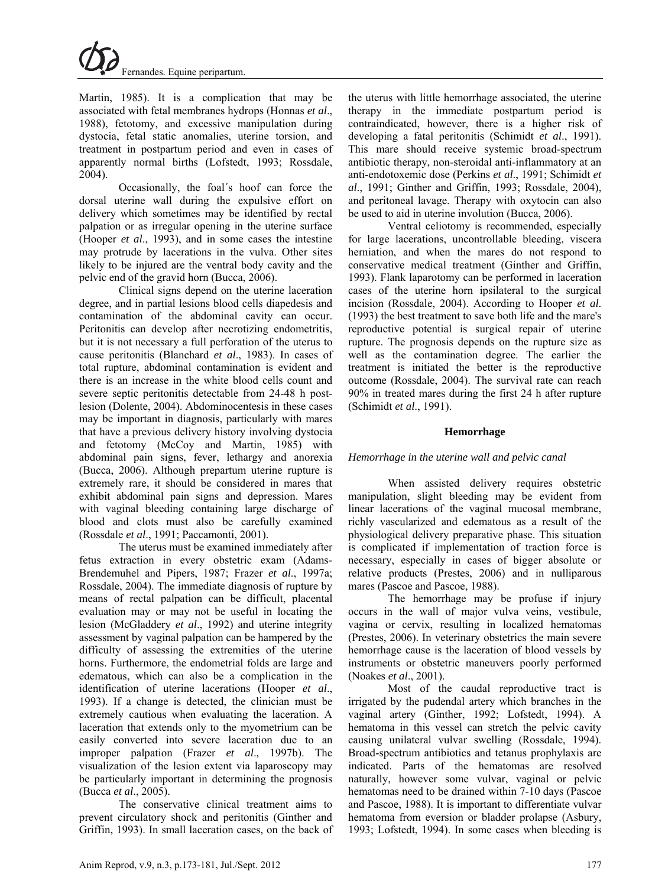

Martin, 1985). It is a complication that may be associated with fetal membranes hydrops (Honnas *et al*., 1988), fetotomy, and excessive manipulation during dystocia, fetal static anomalies, uterine torsion, and treatment in postpartum period and even in cases of apparently normal births (Lofstedt, 1993; Rossdale, 2004).

Occasionally, the foal´s hoof can force the dorsal uterine wall during the expulsive effort on delivery which sometimes may be identified by rectal palpation or as irregular opening in the uterine surface (Hooper *et al*., 1993), and in some cases the intestine may protrude by lacerations in the vulva. Other sites likely to be injured are the ventral body cavity and the pelvic end of the gravid horn (Bucca, 2006).

Clinical signs depend on the uterine laceration degree, and in partial lesions blood cells diapedesis and contamination of the abdominal cavity can occur. Peritonitis can develop after necrotizing endometritis, but it is not necessary a full perforation of the uterus to cause peritonitis (Blanchard *et al*., 1983). In cases of total rupture, abdominal contamination is evident and there is an increase in the white blood cells count and severe septic peritonitis detectable from 24-48 h postlesion (Dolente, 2004). Abdominocentesis in these cases may be important in diagnosis, particularly with mares that have a previous delivery history involving dystocia and fetotomy (McCoy and Martin, 1985) with abdominal pain signs, fever, lethargy and anorexia (Bucca, 2006). Although prepartum uterine rupture is extremely rare, it should be considered in mares that exhibit abdominal pain signs and depression. Mares with vaginal bleeding containing large discharge of blood and clots must also be carefully examined (Rossdale *et al*., 1991; Paccamonti, 2001).

The uterus must be examined immediately after fetus extraction in every obstetric exam (Adams-Brendemuhel and Pipers, 1987; Frazer *et al*., 1997a; Rossdale, 2004). The immediate diagnosis of rupture by means of rectal palpation can be difficult, placental evaluation may or may not be useful in locating the lesion (McGladdery *et al*., 1992) and uterine integrity assessment by vaginal palpation can be hampered by the difficulty of assessing the extremities of the uterine horns. Furthermore, the endometrial folds are large and edematous, which can also be a complication in the identification of uterine lacerations (Hooper *et al*., 1993). If a change is detected, the clinician must be extremely cautious when evaluating the laceration. A laceration that extends only to the myometrium can be easily converted into severe laceration due to an improper palpation (Frazer *et al*., 1997b). The visualization of the lesion extent via laparoscopy may be particularly important in determining the prognosis (Bucca *et al*., 2005).

The conservative clinical treatment aims to prevent circulatory shock and peritonitis (Ginther and Griffin, 1993). In small laceration cases, on the back of the uterus with little hemorrhage associated, the uterine therapy in the immediate postpartum period is contraindicated, however, there is a higher risk of developing a fatal peritonitis (Schimidt *et al*., 1991). This mare should receive systemic broad-spectrum antibiotic therapy, non-steroidal anti-inflammatory at an anti-endotoxemic dose (Perkins *et al*., 1991; Schimidt *et al*., 1991; Ginther and Griffin, 1993; Rossdale, 2004), and peritoneal lavage. Therapy with oxytocin can also be used to aid in uterine involution (Bucca, 2006).

Ventral celiotomy is recommended, especially for large lacerations, uncontrollable bleeding, viscera herniation, and when the mares do not respond to conservative medical treatment (Ginther and Griffin, 1993). Flank laparotomy can be performed in laceration cases of the uterine horn ipsilateral to the surgical incision (Rossdale, 2004). According to Hooper *et al*. (1993) the best treatment to save both life and the mare's reproductive potential is surgical repair of uterine rupture. The prognosis depends on the rupture size as well as the contamination degree. The earlier the treatment is initiated the better is the reproductive outcome (Rossdale, 2004). The survival rate can reach 90% in treated mares during the first 24 h after rupture (Schimidt *et al*., 1991).

### **Hemorrhage**

### *Hemorrhage in the uterine wall and pelvic canal*

When assisted delivery requires obstetric manipulation, slight bleeding may be evident from linear lacerations of the vaginal mucosal membrane, richly vascularized and edematous as a result of the physiological delivery preparative phase. This situation is complicated if implementation of traction force is necessary, especially in cases of bigger absolute or relative products (Prestes, 2006) and in nulliparous mares (Pascoe and Pascoe, 1988).

The hemorrhage may be profuse if injury occurs in the wall of major vulva veins, vestibule, vagina or cervix, resulting in localized hematomas (Prestes, 2006). In veterinary obstetrics the main severe hemorrhage cause is the laceration of blood vessels by instruments or obstetric maneuvers poorly performed (Noakes *et al*., 2001).

Most of the caudal reproductive tract is irrigated by the pudendal artery which branches in the vaginal artery (Ginther, 1992; Lofstedt, 1994). A hematoma in this vessel can stretch the pelvic cavity causing unilateral vulvar swelling (Rossdale, 1994). Broad-spectrum antibiotics and tetanus prophylaxis are indicated. Parts of the hematomas are resolved naturally, however some vulvar, vaginal or pelvic hematomas need to be drained within 7-10 days (Pascoe and Pascoe, 1988). It is important to differentiate vulvar hematoma from eversion or bladder prolapse (Asbury, 1993; Lofstedt, 1994). In some cases when bleeding is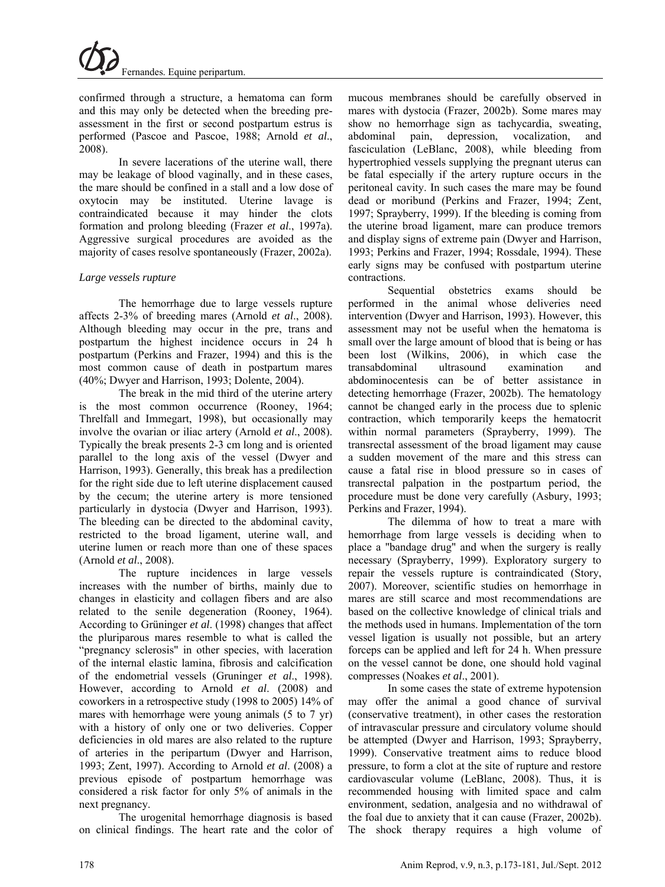confirmed through a structure, a hematoma can form and this may only be detected when the breeding preassessment in the first or second postpartum estrus is performed (Pascoe and Pascoe, 1988; Arnold *et al*., 2008).

In severe lacerations of the uterine wall, there may be leakage of blood vaginally, and in these cases, the mare should be confined in a stall and a low dose of oxytocin may be instituted. Uterine lavage is contraindicated because it may hinder the clots formation and prolong bleeding (Frazer *et al*., 1997a). Aggressive surgical procedures are avoided as the majority of cases resolve spontaneously (Frazer, 2002a).

## *Large vessels rupture*

The hemorrhage due to large vessels rupture affects 2-3% of breeding mares (Arnold *et al*., 2008). Although bleeding may occur in the pre, trans and postpartum the highest incidence occurs in 24 h postpartum (Perkins and Frazer, 1994) and this is the most common cause of death in postpartum mares (40%; Dwyer and Harrison, 1993; Dolente, 2004).

The break in the mid third of the uterine artery is the most common occurrence (Rooney, 1964; Threlfall and Immegart, 1998), but occasionally may involve the ovarian or iliac artery (Arnold *et al*., 2008). Typically the break presents 2-3 cm long and is oriented parallel to the long axis of the vessel (Dwyer and Harrison, 1993). Generally, this break has a predilection for the right side due to left uterine displacement caused by the cecum; the uterine artery is more tensioned particularly in dystocia (Dwyer and Harrison, 1993). The bleeding can be directed to the abdominal cavity, restricted to the broad ligament, uterine wall, and uterine lumen or reach more than one of these spaces (Arnold *et al*., 2008).

The rupture incidences in large vessels increases with the number of births, mainly due to changes in elasticity and collagen fibers and are also related to the senile degeneration (Rooney, 1964). According to Grüninger *et al*. (1998) changes that affect the pluriparous mares resemble to what is called the "pregnancy sclerosis" in other species, with laceration of the internal elastic lamina, fibrosis and calcification of the endometrial vessels (Gruninger *et al*., 1998). However, according to Arnold *et al*. (2008) and coworkers in a retrospective study (1998 to 2005) 14% of mares with hemorrhage were young animals (5 to 7 yr) with a history of only one or two deliveries. Copper deficiencies in old mares are also related to the rupture of arteries in the peripartum (Dwyer and Harrison, 1993; Zent, 1997). According to Arnold *et al*. (2008) a previous episode of postpartum hemorrhage was considered a risk factor for only 5% of animals in the next pregnancy.

The urogenital hemorrhage diagnosis is based on clinical findings. The heart rate and the color of mucous membranes should be carefully observed in mares with dystocia (Frazer, 2002b). Some mares may show no hemorrhage sign as tachycardia, sweating, abdominal pain, depression, vocalization, and fasciculation (LeBlanc, 2008), while bleeding from hypertrophied vessels supplying the pregnant uterus can be fatal especially if the artery rupture occurs in the peritoneal cavity. In such cases the mare may be found dead or moribund (Perkins and Frazer, 1994; Zent, 1997; Sprayberry, 1999). If the bleeding is coming from the uterine broad ligament, mare can produce tremors and display signs of extreme pain (Dwyer and Harrison, 1993; Perkins and Frazer, 1994; Rossdale, 1994). These early signs may be confused with postpartum uterine contractions.

Sequential obstetrics exams should be performed in the animal whose deliveries need intervention (Dwyer and Harrison, 1993). However, this assessment may not be useful when the hematoma is small over the large amount of blood that is being or has been lost (Wilkins, 2006), in which case the transabdominal ultrasound examination and abdominocentesis can be of better assistance in detecting hemorrhage (Frazer, 2002b). The hematology cannot be changed early in the process due to splenic contraction, which temporarily keeps the hematocrit within normal parameters (Sprayberry, 1999). The transrectal assessment of the broad ligament may cause a sudden movement of the mare and this stress can cause a fatal rise in blood pressure so in cases of transrectal palpation in the postpartum period, the procedure must be done very carefully (Asbury, 1993; Perkins and Frazer, 1994).

The dilemma of how to treat a mare with hemorrhage from large vessels is deciding when to place a "bandage drug" and when the surgery is really necessary (Sprayberry, 1999). Exploratory surgery to repair the vessels rupture is contraindicated (Story, 2007). Moreover, scientific studies on hemorrhage in mares are still scarce and most recommendations are based on the collective knowledge of clinical trials and the methods used in humans. Implementation of the torn vessel ligation is usually not possible, but an artery forceps can be applied and left for 24 h. When pressure on the vessel cannot be done, one should hold vaginal compresses (Noakes *et al*., 2001).

In some cases the state of extreme hypotension may offer the animal a good chance of survival (conservative treatment), in other cases the restoration of intravascular pressure and circulatory volume should be attempted (Dwyer and Harrison, 1993; Sprayberry, 1999). Conservative treatment aims to reduce blood pressure, to form a clot at the site of rupture and restore cardiovascular volume (LeBlanc, 2008). Thus, it is recommended housing with limited space and calm environment, sedation, analgesia and no withdrawal of the foal due to anxiety that it can cause (Frazer, 2002b). The shock therapy requires a high volume of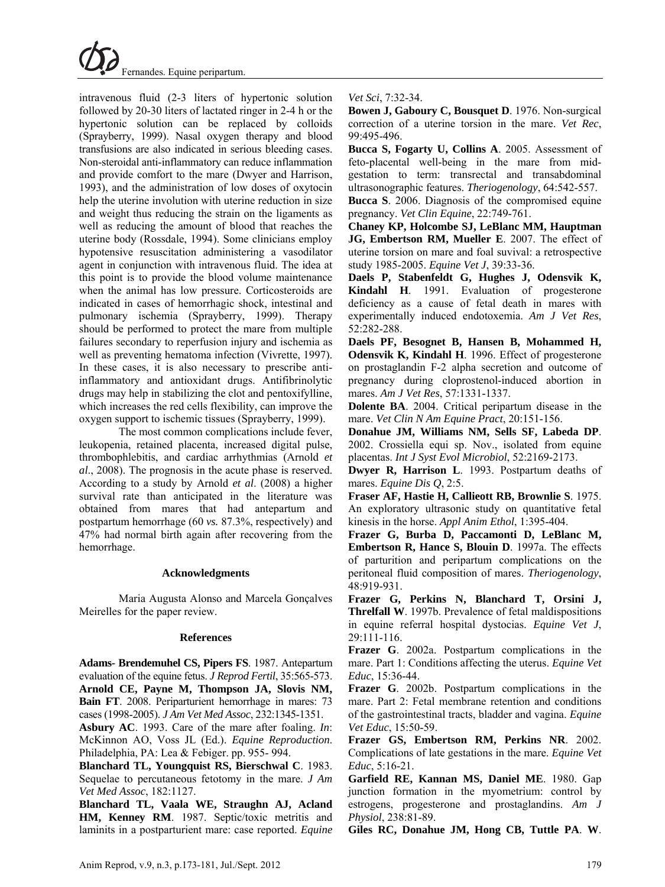

intravenous fluid (2-3 liters of hypertonic solution followed by 20-30 liters of lactated ringer in 2-4 h or the hypertonic solution can be replaced by colloids (Sprayberry, 1999). Nasal oxygen therapy and blood transfusions are also indicated in serious bleeding cases. Non-steroidal anti-inflammatory can reduce inflammation and provide comfort to the mare (Dwyer and Harrison, 1993), and the administration of low doses of oxytocin help the uterine involution with uterine reduction in size and weight thus reducing the strain on the ligaments as well as reducing the amount of blood that reaches the uterine body (Rossdale, 1994). Some clinicians employ hypotensive resuscitation administering a vasodilator agent in conjunction with intravenous fluid. The idea at this point is to provide the blood volume maintenance when the animal has low pressure. Corticosteroids are indicated in cases of hemorrhagic shock, intestinal and pulmonary ischemia (Sprayberry, 1999). Therapy should be performed to protect the mare from multiple failures secondary to reperfusion injury and ischemia as well as preventing hematoma infection (Vivrette, 1997). In these cases, it is also necessary to prescribe antiinflammatory and antioxidant drugs. Antifibrinolytic drugs may help in stabilizing the clot and pentoxifylline, which increases the red cells flexibility, can improve the oxygen support to ischemic tissues (Sprayberry, 1999).

The most common complications include fever, leukopenia, retained placenta, increased digital pulse, thrombophlebitis, and cardiac arrhythmias (Arnold *et al*., 2008). The prognosis in the acute phase is reserved. According to a study by Arnold *et al*. (2008) a higher survival rate than anticipated in the literature was obtained from mares that had antepartum and postpartum hemorrhage (60 *vs.* 87.3%, respectively) and 47% had normal birth again after recovering from the hemorrhage.

### **Acknowledgments**

Maria Augusta Alonso and Marcela Gonçalves Meirelles for the paper review.

#### **References**

**Adams- Brendemuhel CS, Pipers FS**. 1987. Antepartum evaluation of the equine fetus. *J Reprod Fertil*, 35:565-573. **Arnold CE, Payne M, Thompson JA, Slovis NM, Bain FT**. 2008. Periparturient hemorrhage in mares: 73 cases (1998-2005). *J Am Vet Med Assoc*, 232:1345-1351.

**Asbury AC**. 1993. Care of the mare after foaling. *In*: McKinnon AO, Voss JL (Ed.). *Equine Reproduction*. Philadelphia, PA: Lea & Febiger. pp. 955- 994.

**Blanchard TL, Youngquist RS, Bierschwal C**. 1983. Sequelae to percutaneous fetotomy in the mare. *J Am Vet Med Assoc*, 182:1127.

**Blanchard TL, Vaala WE, Straughn AJ, Acland HM, Kenney RM**. 1987. Septic/toxic metritis and laminits in a postparturient mare: case reported. *Equine*  *Vet Sci*, 7:32-34.

**Bowen J, Gaboury C, Bousquet D**. 1976. Non-surgical correction of a uterine torsion in the mare. *Vet Rec*, 99:495-496.

**Bucca S, Fogarty U, Collins A**. 2005. Assessment of feto-placental well-being in the mare from midgestation to term: transrectal and transabdominal ultrasonographic features. *Theriogenology*, 64:542-557.

**Bucca S**. 2006. Diagnosis of the compromised equine pregnancy. *Vet Clin Equine*, 22:749-761.

**Chaney KP, Holcombe SJ, LeBlanc MM, Hauptman JG, Embertson RM, Mueller E**. 2007. The effect of uterine torsion on mare and foal suvival: a retrospective study 1985-2005. *Equine Vet J*, 39:33-36.

**Daels P, Stabenfeldt G, Hughes J, Odensvik K, Kindahl H**. 1991. Evaluation of progesterone deficiency as a cause of fetal death in mares with experimentally induced endotoxemia. *Am J Vet Res*, 52:282-288.

**Daels PF, Besognet B, Hansen B, Mohammed H, Odensvik K, Kindahl H**. 1996. Effect of progesterone on prostaglandin F-2 alpha secretion and outcome of pregnancy during cloprostenol-induced abortion in mares. *Am J Vet Res*, 57:1331-1337.

**Dolente BA**. 2004. Critical peripartum disease in the mare. *Vet Clin N Am Equine Pract*, 20:151-156.

**Donahue JM, Williams NM, Sells SF, Labeda DP**. 2002. Crossiella equi sp. Nov., isolated from equine placentas. *Int J Syst Evol Microbiol*, 52:2169-2173.

**Dwyer R, Harrison L**. 1993. Postpartum deaths of mares. *Equine Dis Q*, 2:5.

**Fraser AF, Hastie H, Callieott RB, Brownlie S**. 1975. An exploratory ultrasonic study on quantitative fetal kinesis in the horse. *Appl Anim Ethol*, 1:395-404.

**Frazer G, Burba D, Paccamonti D, LeBlanc M, Embertson R, Hance S, Blouin D**. 1997a. The effects of parturition and peripartum complications on the peritoneal fluid composition of mares. *Theriogenology*, 48:919-931.

**Frazer G, Perkins N, Blanchard T, Orsini J, Threlfall W**. 1997b. Prevalence of fetal maldispositions in equine referral hospital dystocias. *Equine Vet J*, 29:111-116.

**Frazer G**. 2002a. Postpartum complications in the mare. Part 1: Conditions affecting the uterus. *Equine Vet Educ*, 15:36-44.

**Frazer G**. 2002b. Postpartum complications in the mare. Part 2: Fetal membrane retention and conditions of the gastrointestinal tracts, bladder and vagina. *Equine Vet Educ*, 15:50-59.

**Frazer GS, Embertson RM, Perkins NR**. 2002. Complications of late gestations in the mare. *Equine Vet Educ*, 5:16-21.

**Garfield RE, Kannan MS, Daniel ME**. 1980. Gap junction formation in the myometrium: control by estrogens, progesterone and prostaglandins. *Am J Physiol*, 238:81-89.

**Giles RC, Donahue JM, Hong CB, Tuttle PA**. **W**.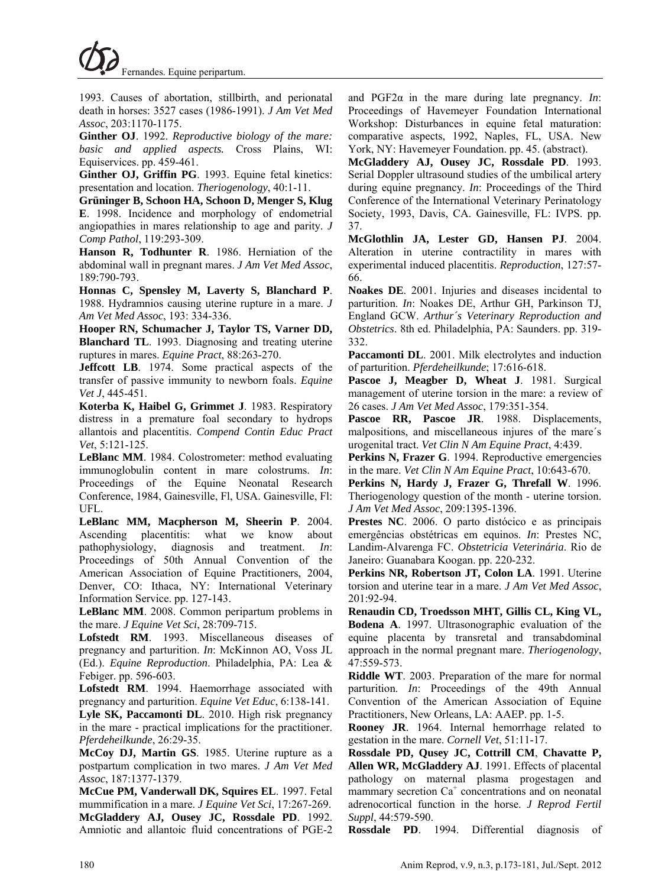1993. Causes of abortation, stillbirth, and perionatal death in horses: 3527 cases (1986-1991). *J Am Vet Med Assoc*, 203:1170-1175.

**Ginther OJ**. 1992. *Reproductive biology of the mare: basic and applied aspects.* Cross Plains, WI: Equiservices. pp. 459-461.

**Ginther OJ, Griffin PG**. 1993. Equine fetal kinetics: presentation and location. *Theriogenology*, 40:1-11.

**Grüninger B, Schoon HA, Schoon D, Menger S, Klug E**. 1998. Incidence and morphology of endometrial angiopathies in mares relationship to age and parity. *J Comp Pathol*, 119:293-309.

**Hanson R, Todhunter R**. 1986. Herniation of the abdominal wall in pregnant mares. *J Am Vet Med Assoc*, 189:790-793.

**Honnas C, Spensley M, Laverty S, Blanchard P**. 1988. Hydramnios causing uterine rupture in a mare. *J Am Vet Med Assoc*, 193: 334-336.

**Hooper RN, Schumacher J, Taylor TS, Varner DD, Blanchard TL**. 1993. Diagnosing and treating uterine ruptures in mares. *Equine Pract*, 88:263-270.

**Jeffcott LB**. 1974. Some practical aspects of the transfer of passive immunity to newborn foals. *Equine Vet J*, 445-451.

**Koterba K, Haibel G, Grimmet J**. 1983. Respiratory distress in a premature foal secondary to hydrops allantois and placentitis. *Compend Contin Educ Pract Vet*, 5:121-125.

**LeBlanc MM**. 1984. Colostrometer: method evaluating immunoglobulin content in mare colostrums. *In*: Proceedings of the Equine Neonatal Research Conference, 1984, Gainesville, Fl, USA. Gainesville, Fl: UFL.

**LeBlanc MM, Macpherson M, Sheerin P**. 2004. Ascending placentitis: what we know about pathophysiology, diagnosis and treatment. *In*: Proceedings of 50th Annual Convention of the American Association of Equine Practitioners, 2004, Denver, CO: Ithaca, NY: International Veterinary Information Service. pp. 127-143.

**LeBlanc MM**. 2008. Common peripartum problems in the mare. *J Equine Vet Sci*, 28:709-715.

**Lofstedt RM**. 1993. Miscellaneous diseases of pregnancy and parturition. *In*: McKinnon AO, Voss JL (Ed.). *Equine Reproduction*. Philadelphia, PA: Lea & Febiger. pp. 596-603.

**Lofstedt RM**. 1994. Haemorrhage associated with pregnancy and parturition. *Equine Vet Educ*, 6:138-141. **Lyle SK, Paccamonti DL**. 2010. High risk pregnancy in the mare - practical implications for the practitioner. *Pferdeheilkunde*, 26:29-35.

**McCoy DJ, Martin GS**. 1985. Uterine rupture as a postpartum complication in two mares. *J Am Vet Med Assoc*, 187:1377-1379.

**McCue PM, Vanderwall DK, Squires EL**. 1997. Fetal mummification in a mare. *J Equine Vet Sci*, 17:267-269. **McGladdery AJ, Ousey JC, Rossdale PD**. 1992. Amniotic and allantoic fluid concentrations of PGE-2 and PGF2α in the mare during late pregnancy. *In*: Proceedings of Havemeyer Foundation International Workshop: Disturbances in equine fetal maturation: comparative aspects, 1992, Naples, FL, USA. New York, NY: Havemeyer Foundation. pp. 45. (abstract).

**McGladdery AJ, Ousey JC, Rossdale PD**. 1993. Serial Doppler ultrasound studies of the umbilical artery during equine pregnancy. *In*: Proceedings of the Third Conference of the International Veterinary Perinatology Society, 1993, Davis, CA. Gainesville, FL: IVPS. pp. 37.

**McGlothlin JA, Lester GD, Hansen PJ**. 2004. Alteration in uterine contractility in mares with experimental induced placentitis. *Reproduction*, 127:57- 66.

**Noakes DE**. 2001. Injuries and diseases incidental to parturition. *In*: Noakes DE, Arthur GH, Parkinson TJ, England GCW. *Arthur´s Veterinary Reproduction and Obstetrics*. 8th ed. Philadelphia, PA: Saunders. pp. 319- 332.

**Paccamonti DL**. 2001. Milk electrolytes and induction of parturition. *Pferdeheilkunde*; 17:616-618.

**Pascoe J, Meagber D, Wheat J**. 1981. Surgical management of uterine torsion in the mare: a review of 26 cases. *J Am Vet Med Assoc*, 179:351-354.

Pascoe RR, Pascoe JR. 1988. Displacements, malpositions, and miscellaneous injures of the mare´s urogenital tract. *Vet Clin N Am Equine Pract*, 4:439.

**Perkins N, Frazer G**. 1994. Reproductive emergencies in the mare. *Vet Clin N Am Equine Pract*, 10:643-670.

**Perkins N, Hardy J, Frazer G, Threfall W**. 1996. Theriogenology question of the month - uterine torsion. *J Am Vet Med Assoc*, 209:1395-1396.

**Prestes NC**. 2006. O parto distócico e as principais emergências obstétricas em equinos. *In*: Prestes NC, Landim-Alvarenga FC. *Obstetricia Veterinária*. Rio de Janeiro: Guanabara Koogan. pp. 220-232.

**Perkins NR, Robertson JT, Colon LA**. 1991. Uterine torsion and uterine tear in a mare. *J Am Vet Med Assoc*, 201:92-94.

**Renaudin CD, Troedsson MHT, Gillis CL, King VL, Bodena A**. 1997. Ultrasonographic evaluation of the equine placenta by transretal and transabdominal approach in the normal pregnant mare. *Theriogenology*, 47:559-573.

**Riddle WT**. 2003. Preparation of the mare for normal parturition. *In*: Proceedings of the 49th Annual Convention of the American Association of Equine Practitioners, New Orleans, LA: AAEP. pp. 1-5.

**Rooney JR**. 1964. Internal hemorrhage related to gestation in the mare. *Cornell Vet*, 51:11-17.

**Rossdale PD, Qusey JC, Cottrill CM**, **Chavatte P, Allen WR, McGladdery AJ**. 1991. Effects of placental pathology on maternal plasma progestagen and  $m$ ammary secretion Ca<sup>+</sup> concentrations and on neonatal adrenocortical function in the horse. *J Reprod Fertil Suppl*, 44:579-590.

**Rossdale PD**. 1994. Differential diagnosis of